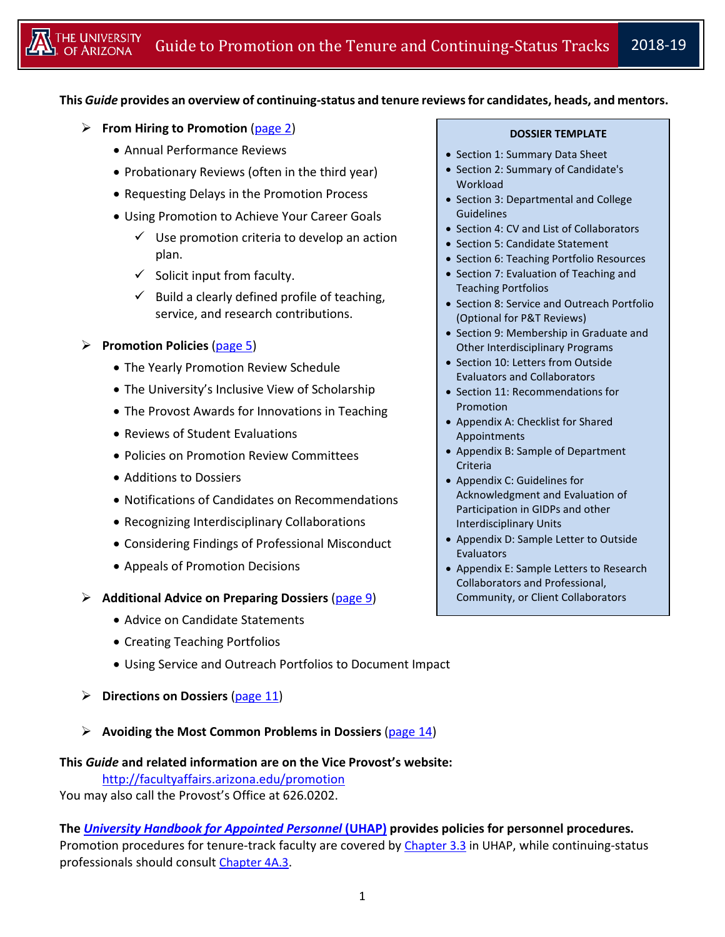### **This** *Guide* **provides an overview of continuing-status and tenure reviews for candidates, heads, and mentors.**

- **From Hiring to Promotion** [\(page 2\)](#page-1-0)
	- Annual Performance Reviews
	- Probationary Reviews (often in the third year)
	- Requesting Delays in the Promotion Process
	- Using Promotion to Achieve Your Career Goals
		- $\checkmark$  Use promotion criteria to develop an action plan.
		- $\checkmark$  Solicit input from faculty.
		- $\checkmark$  Build a clearly defined profile of teaching, service, and research contributions.

### **Promotion Policies** [\(page 5\)](#page-4-0)

- The Yearly Promotion Review Schedule
- The University's Inclusive View of Scholarship
- The Provost Awards for Innovations in Teaching
- Reviews of Student Evaluations
- Policies on Promotion Review Committees
- Additions to Dossiers
- Notifications of Candidates on Recommendations
- Recognizing Interdisciplinary Collaborations
- Considering Findings of Professional Misconduct
- Appeals of Promotion Decisions

### **Additional Advice on Preparing Dossiers** [\(page](#page-8-0) 9)

- Advice on Candidate Statements
- Creating Teaching Portfolios
- Using Service and Outreach Portfolios to Document Impact
- **Directions on Dossiers** [\(page](#page-10-0) 11)
- **Avoiding the Most Common Problems in Dossiers** [\(page 14\)](#page-12-0)

### **This** *Guide* **and related information are on the Vice Provost's website:**

<http://facultyaffairs.arizona.edu/promotion> You may also call the Provost's Office at 626.0202.

**The** *[University Handbook for Appointed Personnel](http://policy.arizona.edu/university-handbook-appointed-personnel)* **(UHAP) provides policies for personnel procedures.** Promotion procedures for tenure-track faculty are covered by [Chapter 3.3](http://policy.arizona.edu/employmenthuman-resources/promotion-and-tenure) in UHAP, while continuing-status professionals should consult [Chapter 4A.3.](http://policy.arizona.edu/employmenthuman-resources/promotion-and-continuing-status)

#### **DOSSIER TEMPLATE**

- Section 1: Summary Data Sheet
- Section 2: Summary of Candidate's **Workload**
- Section 3: Departmental and College Guidelines
- Section 4: CV and List of Collaborators
- Section 5: Candidate Statement
- Section 6: Teaching Portfolio Resources
- Section 7: Evaluation of Teaching and Teaching Portfolios
- Section 8: Service and Outreach Portfolio (Optional for P&T Reviews)
- Section 9: Membership in Graduate and Other Interdisciplinary Programs
- Section 10: Letters from Outside Evaluators and Collaborators
- Section 11: Recommendations for Promotion
- Appendix A: Checklist for Shared Appointments
- Appendix B: Sample of Department Criteria
- Appendix C: Guidelines for Acknowledgment and Evaluation of Participation in GIDPs and other Interdisciplinary Units
- Appendix D: Sample Letter to Outside **Evaluators**
- Appendix E: Sample Letters to Research Collaborators and Professional, Community, or Client Collaborators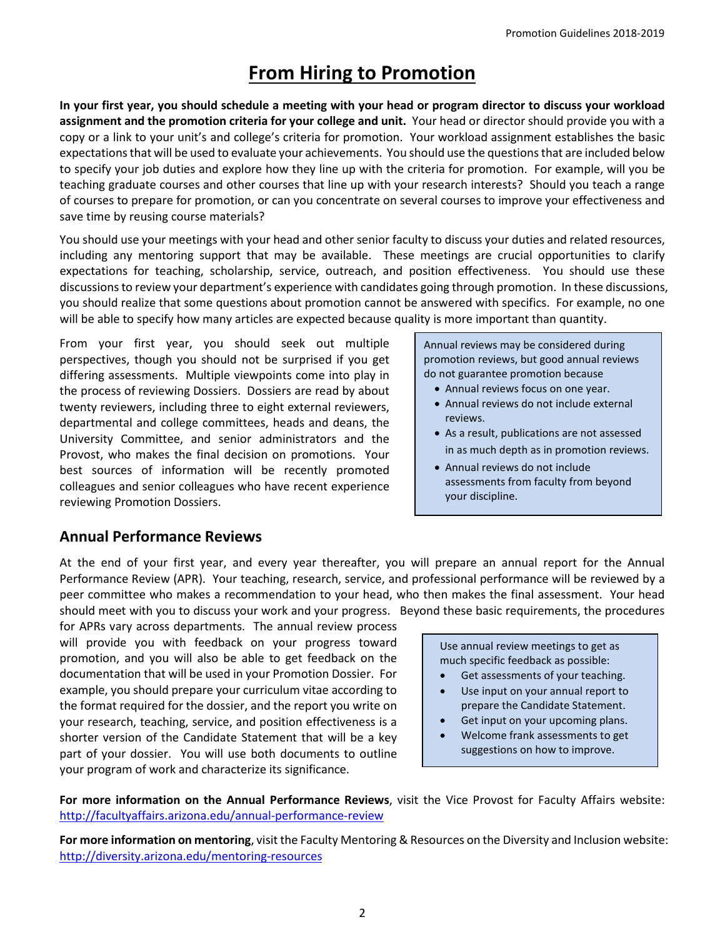# **From Hiring to Promotion**

<span id="page-1-0"></span>**In your first year, you should schedule a meeting with your head or program director to discuss your workload assignment and the promotion criteria for your college and unit.** Your head or director should provide you with a copy or a link to your unit's and college's criteria for promotion. Your workload assignment establishes the basic expectations that will be used to evaluate your achievements. You should use the questions that are included below to specify your job duties and explore how they line up with the criteria for promotion. For example, will you be teaching graduate courses and other courses that line up with your research interests? Should you teach a range of courses to prepare for promotion, or can you concentrate on several courses to improve your effectiveness and save time by reusing course materials?

You should use your meetings with your head and other senior faculty to discuss your duties and related resources, including any mentoring support that may be available. These meetings are crucial opportunities to clarify expectations for teaching, scholarship, service, outreach, and position effectiveness. You should use these discussions to review your department's experience with candidates going through promotion. In these discussions, you should realize that some questions about promotion cannot be answered with specifics. For example, no one will be able to specify how many articles are expected because quality is more important than quantity.

From your first year, you should seek out multiple perspectives, though you should not be surprised if you get differing assessments. Multiple viewpoints come into play in the process of reviewing Dossiers. Dossiers are read by about twenty reviewers, including three to eight external reviewers, departmental and college committees, heads and deans, the University Committee, and senior administrators and the Provost, who makes the final decision on promotions. Your best sources of information will be recently promoted colleagues and senior colleagues who have recent experience reviewing Promotion Dossiers.

Annual reviews may be considered during promotion reviews, but good annual reviews do not guarantee promotion because

- Annual reviews focus on one year.
- Annual reviews do not include external reviews.
- As a result, publications are not assessed in as much depth as in promotion reviews.
- Annual reviews do not include assessments from faculty from beyond your discipline.

# **Annual Performance Reviews**

At the end of your first year, and every year thereafter, you will prepare an annual report for the Annual Performance Review (APR). Your teaching, research, service, and professional performance will be reviewed by a peer committee who makes a recommendation to your head, who then makes the final assessment. Your head should meet with you to discuss your work and your progress. Beyond these basic requirements, the procedures

for APRs vary across departments. The annual review process will provide you with feedback on your progress toward promotion, and you will also be able to get feedback on the documentation that will be used in your Promotion Dossier. For example, you should prepare your curriculum vitae according to the format required for the dossier, and the report you write on your research, teaching, service, and position effectiveness is a shorter version of the Candidate Statement that will be a key part of your dossier. You will use both documents to outline your program of work and characterize its significance.

Use annual review meetings to get as much specific feedback as possible:

- Get assessments of your teaching.
- Use input on your annual report to prepare the Candidate Statement.
- Get input on your upcoming plans.
- Welcome frank assessments to get suggestions on how to improve.

**For more information on the Annual Performance Reviews**, visit the Vice Provost for Faculty Affairs website: <http://facultyaffairs.arizona.edu/annual-performance-review>

**For more information on mentoring**, visit the Faculty Mentoring & Resources on the Diversity and Inclusion website: <http://diversity.arizona.edu/mentoring-resources>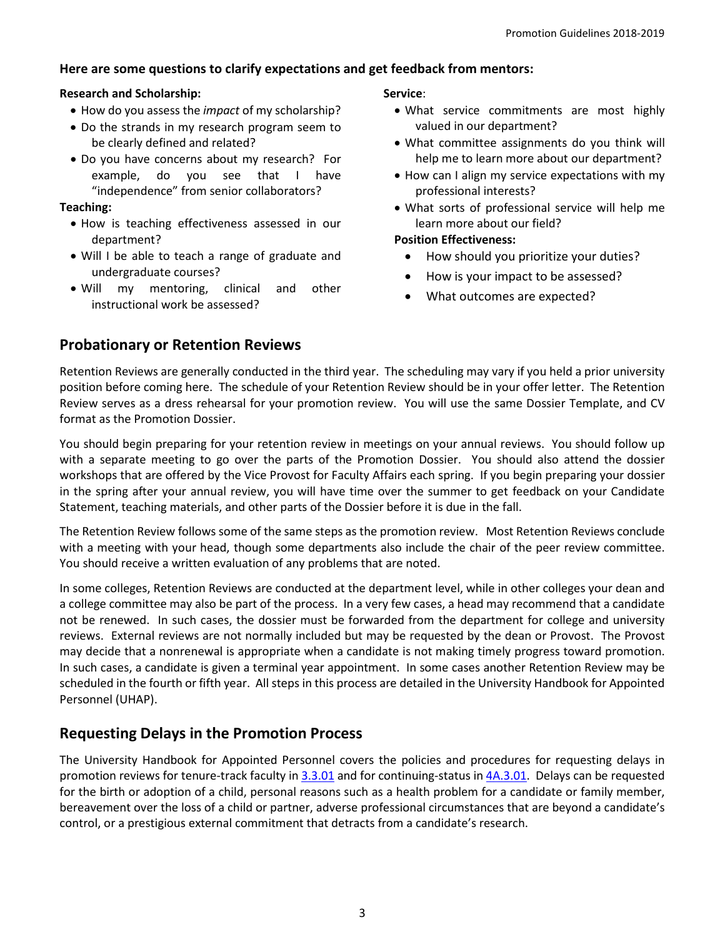## **Here are some questions to clarify expectations and get feedback from mentors:**

### **Research and Scholarship:**

- How do you assess the *impact* of my scholarship?
- Do the strands in my research program seem to be clearly defined and related?
- Do you have concerns about my research? For example, do you see that I have "independence" from senior collaborators?

### **Teaching:**

- How is teaching effectiveness assessed in our department?
- Will I be able to teach a range of graduate and undergraduate courses?
- Will my mentoring, clinical and other instructional work be assessed?

### **Service**:

- What service commitments are most highly valued in our department?
- What committee assignments do you think will help me to learn more about our department?
- How can I align my service expectations with my professional interests?
- What sorts of professional service will help me learn more about our field?

### **Position Effectiveness:**

- How should you prioritize your duties?
- How is your impact to be assessed?
- What outcomes are expected?

## **Probationary or Retention Reviews**

Retention Reviews are generally conducted in the third year. The scheduling may vary if you held a prior university position before coming here. The schedule of your Retention Review should be in your offer letter. The Retention Review serves as a dress rehearsal for your promotion review. You will use the same Dossier Template, and CV format as the Promotion Dossier.

You should begin preparing for your retention review in meetings on your annual reviews. You should follow up with a separate meeting to go over the parts of the Promotion Dossier. You should also attend the dossier workshops that are offered by the Vice Provost for Faculty Affairs each spring. If you begin preparing your dossier in the spring after your annual review, you will have time over the summer to get feedback on your Candidate Statement, teaching materials, and other parts of the Dossier before it is due in the fall.

The Retention Review follows some of the same steps as the promotion review. Most Retention Reviews conclude with a meeting with your head, though some departments also include the chair of the peer review committee. You should receive a written evaluation of any problems that are noted.

In some colleges, Retention Reviews are conducted at the department level, while in other colleges your dean and a college committee may also be part of the process. In a very few cases, a head may recommend that a candidate not be renewed. In such cases, the dossier must be forwarded from the department for college and university reviews. External reviews are not normally included but may be requested by the dean or Provost. The Provost may decide that a nonrenewal is appropriate when a candidate is not making timely progress toward promotion. In such cases, a candidate is given a terminal year appointment. In some cases another Retention Review may be scheduled in the fourth or fifth year. All steps in this process are detailed in the University Handbook for Appointed Personnel (UHAP).

# **Requesting Delays in the Promotion Process**

The University Handbook for Appointed Personnel covers the policies and procedures for requesting delays in promotion reviews for tenure-track faculty i[n 3.3.01](http://hr.arizona.edu/policy/appointed-personnel/3.3.01) and for continuing-status i[n 4A.3.01.](http://hr.arizona.edu/policy/appointed-personnel/4a.3.01) Delays can be requested for the birth or adoption of a child, personal reasons such as a health problem for a candidate or family member, bereavement over the loss of a child or partner, adverse professional circumstances that are beyond a candidate's control, or a prestigious external commitment that detracts from a candidate's research.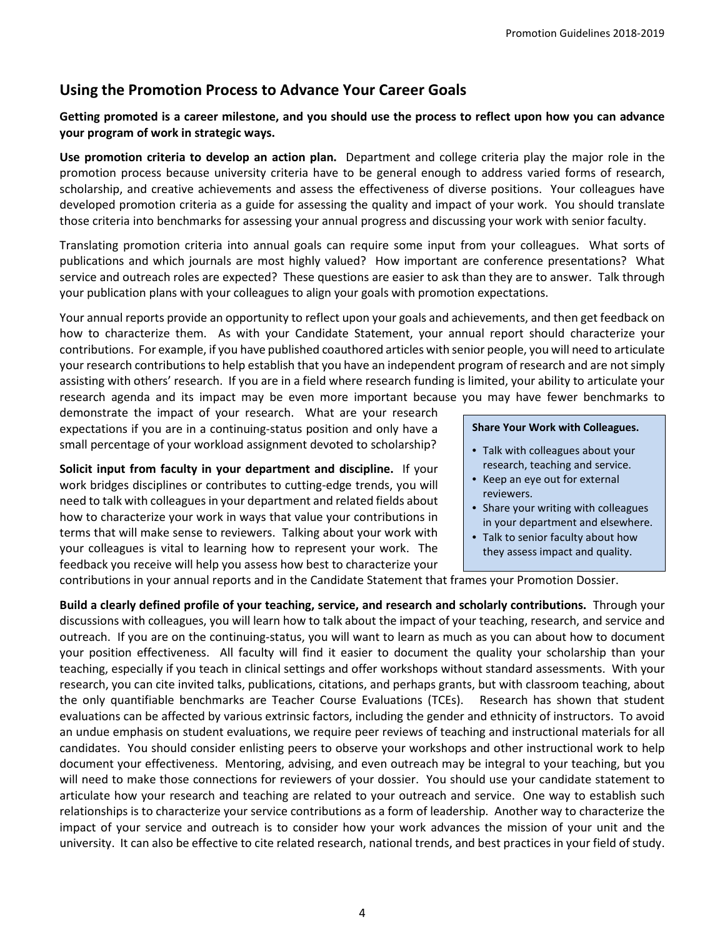# **Using the Promotion Process to Advance Your Career Goals**

### **Getting promoted is a career milestone, and you should use the process to reflect upon how you can advance your program of work in strategic ways.**

**Use promotion criteria to develop an action plan.** Department and college criteria play the major role in the promotion process because university criteria have to be general enough to address varied forms of research, scholarship, and creative achievements and assess the effectiveness of diverse positions. Your colleagues have developed promotion criteria as a guide for assessing the quality and impact of your work. You should translate those criteria into benchmarks for assessing your annual progress and discussing your work with senior faculty.

Translating promotion criteria into annual goals can require some input from your colleagues. What sorts of publications and which journals are most highly valued? How important are conference presentations? What service and outreach roles are expected? These questions are easier to ask than they are to answer. Talk through your publication plans with your colleagues to align your goals with promotion expectations.

Your annual reports provide an opportunity to reflect upon your goals and achievements, and then get feedback on how to characterize them. As with your Candidate Statement, your annual report should characterize your contributions. For example, if you have published coauthored articles with senior people, you will need to articulate your research contributionsto help establish that you have an independent program of research and are not simply assisting with others' research. If you are in a field where research funding is limited, your ability to articulate your research agenda and its impact may be even more important because you may have fewer benchmarks to

demonstrate the impact of your research. What are your research expectations if you are in a continuing-status position and only have a small percentage of your workload assignment devoted to scholarship?

**Solicit input from faculty in your department and discipline.** If your work bridges disciplines or contributes to cutting-edge trends, you will need to talk with colleagues in your department and related fields about how to characterize your work in ways that value your contributions in terms that will make sense to reviewers. Talking about your work with your colleagues is vital to learning how to represent your work. The feedback you receive will help you assess how best to characterize your

#### **Share Your Work with Colleagues.**

- Talk with colleagues about your research, teaching and service.
- Keep an eye out for external reviewers.
- Share your writing with colleagues in your department and elsewhere.
- Talk to senior faculty about how they assess impact and quality.

contributions in your annual reports and in the Candidate Statement that frames your Promotion Dossier.

**Build a clearly defined profile of your teaching, service, and research and scholarly contributions.** Through your discussions with colleagues, you will learn how to talk about the impact of your teaching, research, and service and outreach. If you are on the continuing-status, you will want to learn as much as you can about how to document your position effectiveness. All faculty will find it easier to document the quality your scholarship than your teaching, especially if you teach in clinical settings and offer workshops without standard assessments. With your research, you can cite invited talks, publications, citations, and perhaps grants, but with classroom teaching, about the only quantifiable benchmarks are Teacher Course Evaluations (TCEs). Research has shown that student evaluations can be affected by various extrinsic factors, including the gender and ethnicity of instructors. To avoid an undue emphasis on student evaluations, we require peer reviews of teaching and instructional materials for all candidates. You should consider enlisting peers to observe your workshops and other instructional work to help document your effectiveness. Mentoring, advising, and even outreach may be integral to your teaching, but you will need to make those connections for reviewers of your dossier. You should use your candidate statement to articulate how your research and teaching are related to your outreach and service. One way to establish such relationships is to characterize your service contributions as a form of leadership. Another way to characterize the impact of your service and outreach is to consider how your work advances the mission of your unit and the university. It can also be effective to cite related research, national trends, and best practices in your field of study.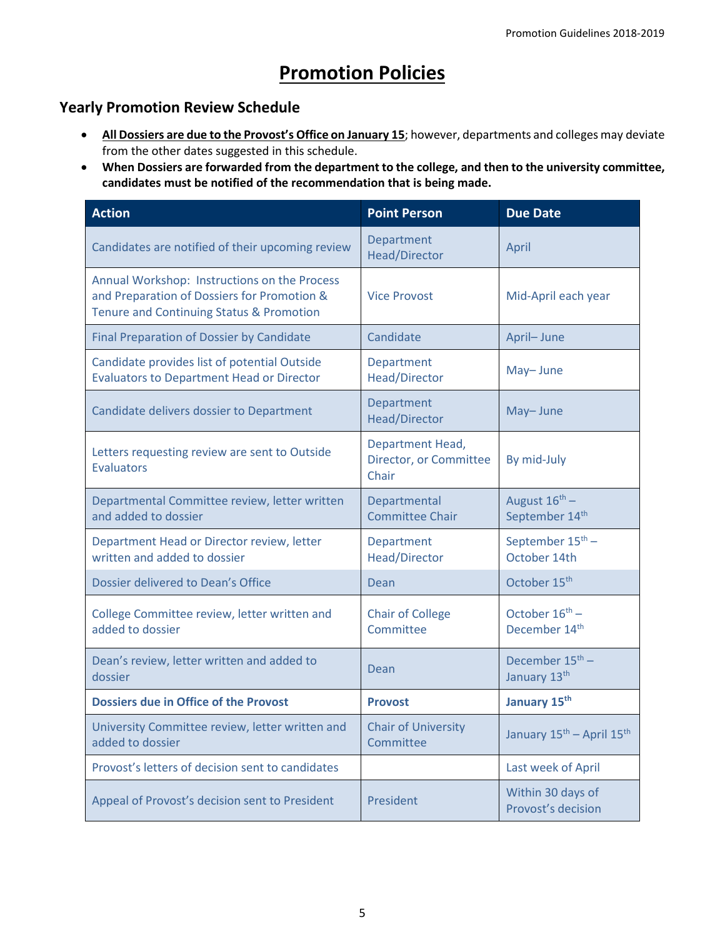# **Promotion Policies**

# <span id="page-4-0"></span>**Yearly Promotion Review Schedule**

- **All Dossiers are due to the Provost's Office on January 15**; however, departments and colleges may deviate from the other dates suggested in this schedule.
- **When Dossiers are forwarded from the department to the college, and then to the university committee, candidates must be notified of the recommendation that is being made.**

| <b>Action</b>                                                                                                                           | <b>Point Person</b>                                 | <b>Due Date</b>                                   |
|-----------------------------------------------------------------------------------------------------------------------------------------|-----------------------------------------------------|---------------------------------------------------|
| Candidates are notified of their upcoming review                                                                                        | Department<br>Head/Director                         | April                                             |
| Annual Workshop: Instructions on the Process<br>and Preparation of Dossiers for Promotion &<br>Tenure and Continuing Status & Promotion | <b>Vice Provost</b>                                 | Mid-April each year                               |
| <b>Final Preparation of Dossier by Candidate</b>                                                                                        | Candidate                                           | April-June                                        |
| Candidate provides list of potential Outside<br><b>Evaluators to Department Head or Director</b>                                        | <b>Department</b><br>Head/Director                  | May-June                                          |
| Candidate delivers dossier to Department                                                                                                | Department<br><b>Head/Director</b>                  | May-June                                          |
| Letters requesting review are sent to Outside<br><b>Evaluators</b>                                                                      | Department Head,<br>Director, or Committee<br>Chair | By mid-July                                       |
| Departmental Committee review, letter written<br>and added to dossier                                                                   | Departmental<br><b>Committee Chair</b>              | August $16^{\text{th}}$ –<br>September 14th       |
| Department Head or Director review, letter<br>written and added to dossier                                                              | Department<br>Head/Director                         | September 15 <sup>th</sup> -<br>October 14th      |
| Dossier delivered to Dean's Office                                                                                                      | Dean                                                | October 15 <sup>th</sup>                          |
| College Committee review, letter written and<br>added to dossier                                                                        | <b>Chair of College</b><br>Committee                | October $16^{th}$ –<br>December 14 <sup>th</sup>  |
| Dean's review, letter written and added to<br>dossier                                                                                   | Dean                                                | December 15 <sup>th</sup> -<br>January 13th       |
| <b>Dossiers due in Office of the Provost</b>                                                                                            | <b>Provost</b>                                      | January 15th                                      |
| University Committee review, letter written and<br>added to dossier                                                                     | <b>Chair of University</b><br>Committee             | January 15 <sup>th</sup> - April 15 <sup>th</sup> |
| Provost's letters of decision sent to candidates                                                                                        |                                                     | Last week of April                                |
| Appeal of Provost's decision sent to President                                                                                          | President                                           | Within 30 days of<br>Provost's decision           |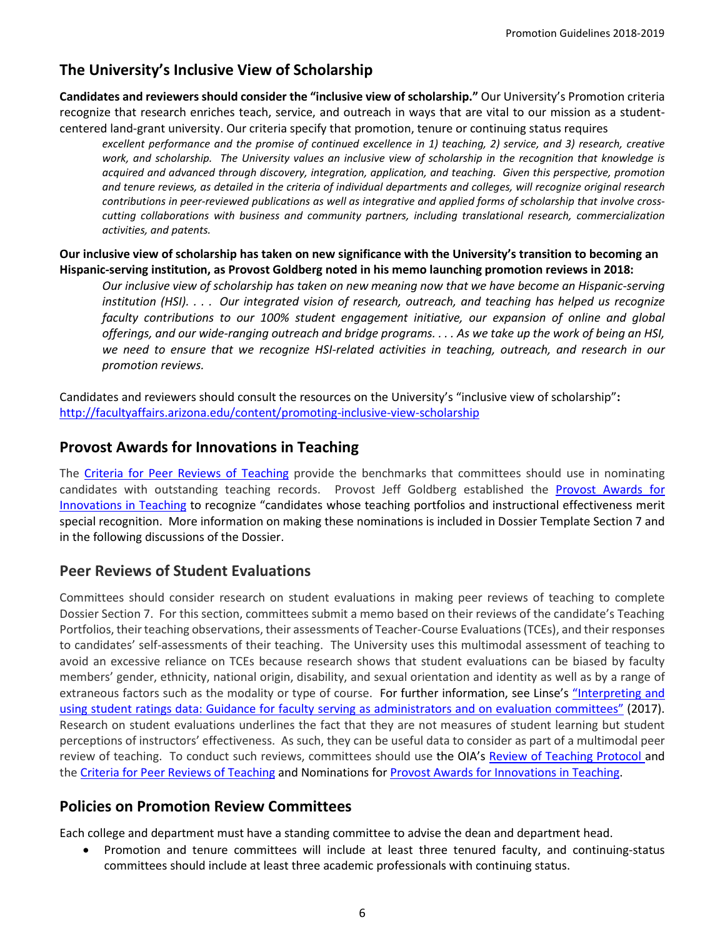# **The University's Inclusive View of Scholarship**

**Candidates and reviewers should consider the "inclusive view of scholarship."** Our University's Promotion criteria recognize that research enriches teach, service, and outreach in ways that are vital to our mission as a studentcentered land-grant university. Our criteria specify that promotion, tenure or continuing status requires

*excellent performance and the promise of continued excellence in 1) teaching, 2) service, and 3) research, creative work, and scholarship. The University values an inclusive view of scholarship in the recognition that knowledge is acquired and advanced through discovery, integration, application, and teaching. Given this perspective, promotion and tenure reviews, as detailed in the criteria of individual departments and colleges, will recognize original research contributions in peer-reviewed publications as well as integrative and applied forms of scholarship that involve crosscutting collaborations with business and community partners, including translational research, commercialization activities, and patents.* 

#### **Our inclusive view of scholarship has taken on new significance with the University's transition to becoming an Hispanic-serving institution, as Provost Goldberg noted in his memo launching promotion reviews in 2018:**

*Our inclusive view of scholarship has taken on new meaning now that we have become an Hispanic-serving institution (HSI). . . . Our integrated vision of research, outreach, and teaching has helped us recognize faculty contributions to our 100% student engagement initiative, our expansion of online and global offerings, and our wide-ranging outreach and bridge programs. . . . As we take up the work of being an HSI, we need to ensure that we recognize HSI-related activities in teaching, outreach, and research in our promotion reviews.*

Candidates and reviewers should consult the resources on the University's "inclusive view of scholarship"**:**  <http://facultyaffairs.arizona.edu/content/promoting-inclusive-view-scholarship>

## **Provost Awards for Innovations in Teaching**

The [Criteria for Peer Reviews of Teaching](http://facultyaffairs.arizona.edu/sites/default/files/18-19_07-criteria-teachingportfolios_0.pdf) provide the benchmarks that committees should use in nominating candidates with outstanding teaching records. Provost Jeff Goldberg established the [Provost Awards for](http://facultyaffairs.arizona.edu/provost-awards-innovations-teaching)  [Innovations in Teaching](http://facultyaffairs.arizona.edu/provost-awards-innovations-teaching) to recognize "candidates whose teaching portfolios and instructional effectiveness merit special recognition. More information on making these nominations is included in Dossier Template Section 7 and in the following discussions of the Dossier.

## **Peer Reviews of Student Evaluations**

Committees should consider research on student evaluations in making peer reviews of teaching to complete Dossier Section 7. For this section, committees submit a memo based on their reviews of the candidate's Teaching Portfolios, their teaching observations, their assessments of Teacher-Course Evaluations (TCEs), and their responses to candidates' self-assessments of their teaching. The University uses this multimodal assessment of teaching to avoid an excessive reliance on TCEs because research shows that student evaluations can be biased by faculty members' gender, ethnicity, national origin, disability, and sexual orientation and identity as well as by a range of extraneous factors such as the modality or type of course. For further information, see Linse's ["Interpreting and](https://www.sciencedirect.com/science/article/pii/S0191491X16300232)  [using student ratings data: Guidance for faculty serving as administrators and on evaluation committees"](https://www.sciencedirect.com/science/article/pii/S0191491X16300232) (2017). Research on student evaluations underlines the fact that they are not measures of student learning but student perceptions of instructors' effectiveness. As such, they can be useful data to consider as part of a multimodal peer review of teaching. To conduct such reviews, committees should use the OIA's [Review of Teaching Protocol](http://teachingprotocol.oia.arizona.edu/) and the [Criteria for Peer Reviews of Teaching](http://facultyaffairs.arizona.edu/sites/default/files/18-19_07-criteria-teachingportfolios_0.pdf) and Nominations fo[r Provost Awards for Innovations in Teaching.](http://facultyaffairs.arizona.edu/provost-awards-innovations-teaching)

## **Policies on Promotion Review Committees**

Each college and department must have a standing committee to advise the dean and department head.

• Promotion and tenure committees will include at least three tenured faculty, and continuing-status committees should include at least three academic professionals with continuing status.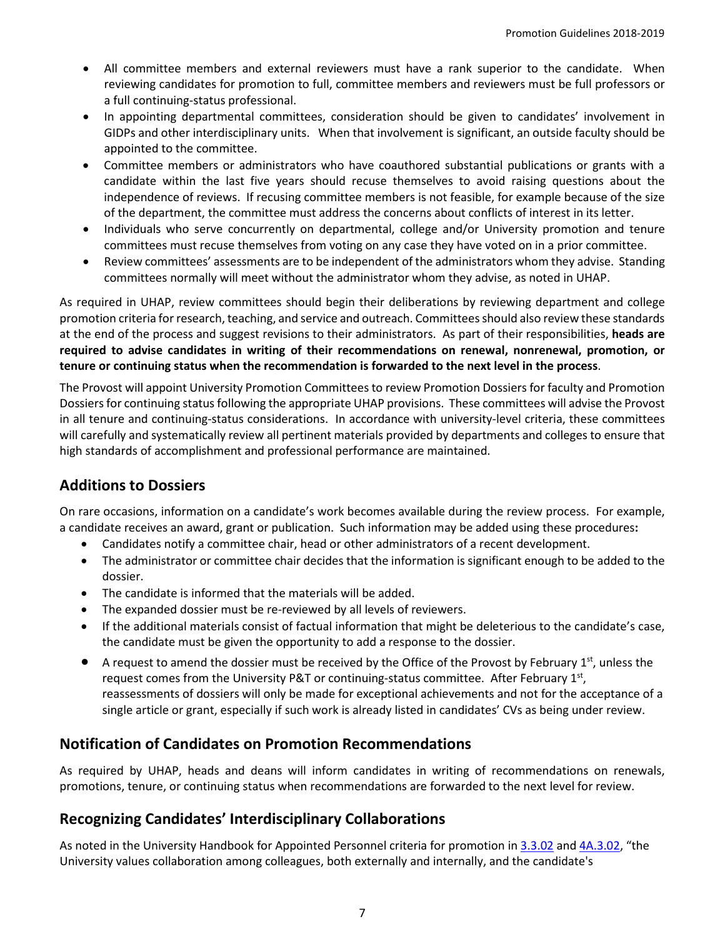- All committee members and external reviewers must have a rank superior to the candidate. When reviewing candidates for promotion to full, committee members and reviewers must be full professors or a full continuing-status professional.
- In appointing departmental committees, consideration should be given to candidates' involvement in GIDPs and other interdisciplinary units. When that involvement is significant, an outside faculty should be appointed to the committee.
- Committee members or administrators who have coauthored substantial publications or grants with a candidate within the last five years should recuse themselves to avoid raising questions about the independence of reviews. If recusing committee members is not feasible, for example because of the size of the department, the committee must address the concerns about conflicts of interest in its letter.
- Individuals who serve concurrently on departmental, college and/or University promotion and tenure committees must recuse themselves from voting on any case they have voted on in a prior committee.
- Review committees' assessments are to be independent of the administrators whom they advise. Standing committees normally will meet without the administrator whom they advise, as noted in UHAP.

As required in UHAP, review committees should begin their deliberations by reviewing department and college promotion criteria for research, teaching, and service and outreach. Committees should also review these standards at the end of the process and suggest revisions to their administrators. As part of their responsibilities, **heads are required to advise candidates in writing of their recommendations on renewal, nonrenewal, promotion, or tenure or continuing status when the recommendation is forwarded to the next level in the process**.

The Provost will appoint University Promotion Committees to review Promotion Dossiers for faculty and Promotion Dossiers for continuing status following the appropriate UHAP provisions. These committees will advise the Provost in all tenure and continuing-status considerations. In accordance with university-level criteria, these committees will carefully and systematically review all pertinent materials provided by departments and colleges to ensure that high standards of accomplishment and professional performance are maintained.

# **Additions to Dossiers**

On rare occasions, information on a candidate's work becomes available during the review process. For example, a candidate receives an award, grant or publication. Such information may be added using these procedures**:**

- Candidates notify a committee chair, head or other administrators of a recent development.
- The administrator or committee chair decides that the information is significant enough to be added to the dossier.
- The candidate is informed that the materials will be added.
- The expanded dossier must be re-reviewed by all levels of reviewers.
- If the additional materials consist of factual information that might be deleterious to the candidate's case, the candidate must be given the opportunity to add a response to the dossier.
- $\bullet$  A request to amend the dossier must be received by the Office of the Provost by February 1st, unless the request comes from the University P&T or continuing-status committee. After February 1st, reassessments of dossiers will only be made for exceptional achievements and not for the acceptance of a single article or grant, especially if such work is already listed in candidates' CVs as being under review.

# **Notification of Candidates on Promotion Recommendations**

As required by UHAP, heads and deans will inform candidates in writing of recommendations on renewals, promotions, tenure, or continuing status when recommendations are forwarded to the next level for review.

# **Recognizing Candidates' Interdisciplinary Collaborations**

As noted in the University Handbook for Appointed Personnel criteria for promotion in [3.3.02](http://policy.arizona.edu/employmenthuman-resources/promotion-and-tenure) an[d 4A.3.02,](http://policy.arizona.edu/employmenthuman-resources/promotion-and-continuing-status) "the University values collaboration among colleagues, both externally and internally, and the candidate's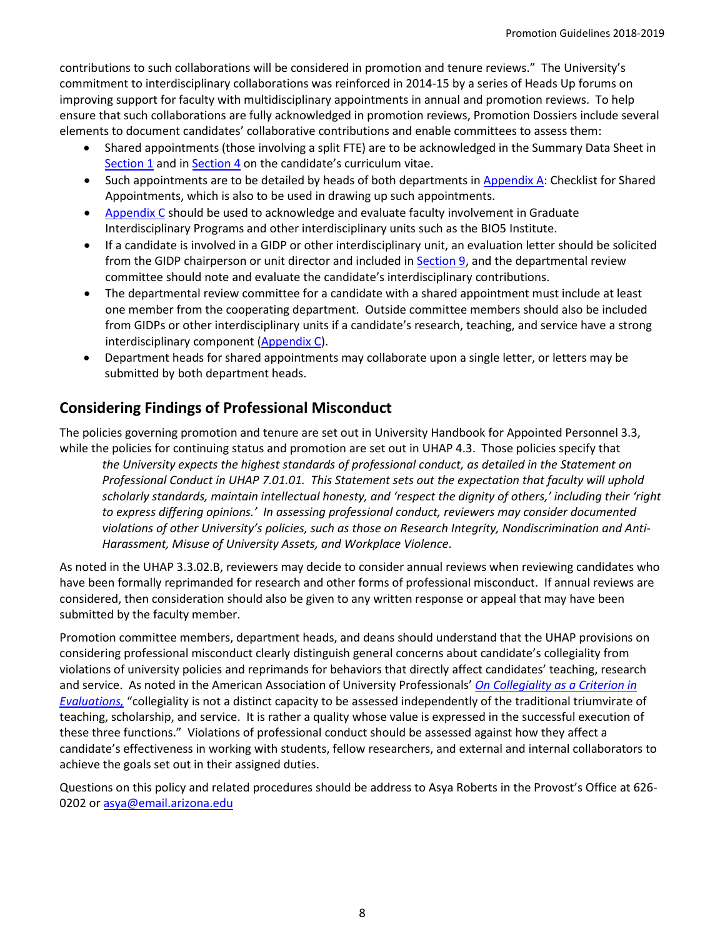contributions to such collaborations will be considered in promotion and tenure reviews." The University's commitment to interdisciplinary collaborations was reinforced in 2014-15 by a series of Heads Up forums on improving support for faculty with multidisciplinary appointments in annual and promotion reviews. To help ensure that such collaborations are fully acknowledged in promotion reviews, Promotion Dossiers include several elements to document candidates' collaborative contributions and enable committees to assess them:

- Shared appointments (those involving a split FTE) are to be acknowledged in the Summary Data Sheet in [Section 1](http://facultyaffairs.arizona.edu/sites/default/files/18-19_01-summarydatasheet.pdf) and in [Section 4](http://facultyaffairs.arizona.edu/sites/default/files/18-19_04-cv_and_collaborators.pdf) on the candidate's curriculum vitae.
- Such appointments are to be detailed by heads of both departments in [Appendix A:](http://facultyaffairs.arizona.edu/sites/default/files/18-19_appendix_a-checklist_for_shared_appointments.pdf) Checklist for Shared Appointments, which is also to be used in drawing up such appointments.
- [Appendix C](http://facultyaffairs.arizona.edu/sites/default/files/18-19_appendix_c-gidpandinterdiscipinaryactivities.pdf) should be used to acknowledge and evaluate faculty involvement in Graduate Interdisciplinary Programs and other interdisciplinary units such as the BIO5 Institute.
- If a candidate is involved in a GIDP or other interdisciplinary unit, an evaluation letter should be solicited from the GIDP chairperson or unit director and included in [Section 9,](http://facultyaffairs.arizona.edu/sites/default/files/18-19_09-membershipgidp.pdf) and the departmental review committee should note and evaluate the candidate's interdisciplinary contributions.
- The departmental review committee for a candidate with a shared appointment must include at least one member from the cooperating department. Outside committee members should also be included from GIDPs or other interdisciplinary units if a candidate's research, teaching, and service have a strong interdisciplinary component [\(Appendix C\)](http://facultyaffairs.arizona.edu/sites/default/files/18-19_appendix_c-gidpandinterdiscipinaryactivities.pdf).
- Department heads for shared appointments may collaborate upon a single letter, or letters may be submitted by both department heads.

# **Considering Findings of Professional Misconduct**

The policies governing promotion and tenure are set out in University Handbook for Appointed Personnel 3.3, while the policies for continuing status and promotion are set out in UHAP 4.3. Those policies specify that

*the University expects the highest standards of professional conduct, as detailed in the Statement on Professional Conduct in UHAP 7.01.01. This Statement sets out the expectation that faculty will uphold scholarly standards, maintain intellectual honesty, and 'respect the dignity of others,' including their 'right to express differing opinions.' In assessing professional conduct, reviewers may consider documented violations of other University's policies, such as those on Research Integrity, Nondiscrimination and Anti-Harassment, Misuse of University Assets, and Workplace Violence*.

As noted in the UHAP 3.3.02.B, reviewers may decide to consider annual reviews when reviewing candidates who have been formally reprimanded for research and other forms of professional misconduct. If annual reviews are considered, then consideration should also be given to any written response or appeal that may have been submitted by the faculty member.

Promotion committee members, department heads, and deans should understand that the UHAP provisions on considering professional misconduct clearly distinguish general concerns about candidate's collegiality from violations of university policies and reprimands for behaviors that directly affect candidates' teaching, research and service. As noted in the American Association of University Professionals' *[On Collegiality as a Criterion in](http://www.aaup.org/report/collegiality-criterion-faculty-evaluation)  [Evaluations,](http://www.aaup.org/report/collegiality-criterion-faculty-evaluation)* "collegiality is not a distinct capacity to be assessed independently of the traditional triumvirate of teaching, scholarship, and service. It is rather a quality whose value is expressed in the successful execution of these three functions." Violations of professional conduct should be assessed against how they affect a candidate's effectiveness in working with students, fellow researchers, and external and internal collaborators to achieve the goals set out in their assigned duties.

Questions on this policy and related procedures should be address to Asya Roberts in the Provost's Office at 626- 0202 or [asya@email.arizona.edu](mailto:asya@email.arizona.edu)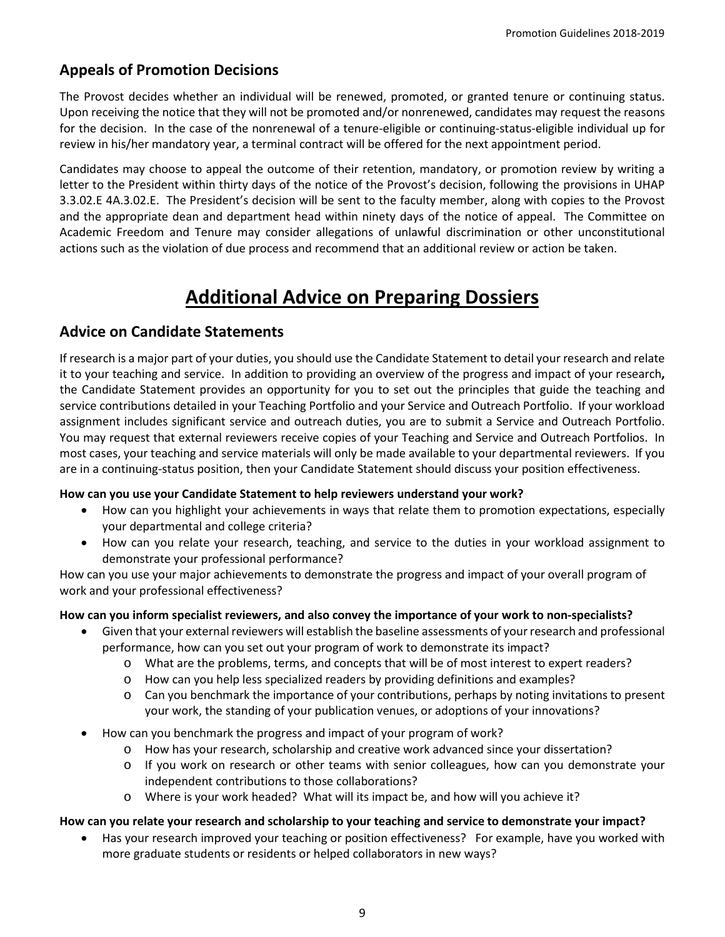# **Appeals of Promotion Decisions**

The Provost decides whether an individual will be renewed, promoted, or granted tenure or continuing status. Upon receiving the notice that they will not be promoted and/or nonrenewed, candidates may request the reasons for the decision. In the case of the nonrenewal of a tenure-eligible or continuing-status-eligible individual up for review in his/her mandatory year, a terminal contract will be offered for the next appointment period.

Candidates may choose to appeal the outcome of their retention, mandatory, or promotion review by writing a letter to the President within thirty days of the notice of the Provost's decision, following the provisions in UHAP 3.3.02.E 4A.3.02.E. The President's decision will be sent to the faculty member, along with copies to the Provost and the appropriate dean and department head within ninety days of the notice of appeal. The Committee on Academic Freedom and Tenure may consider allegations of unlawful discrimination or other unconstitutional actions such as the violation of due process and recommend that an additional review or action be taken.

# **Additional Advice on Preparing Dossiers**

# <span id="page-8-0"></span>**Advice on Candidate Statements**

If research is a major part of your duties, you should use the Candidate Statement to detail your research and relate it to your teaching and service.In addition to providing an overview of the progress and impact of your research**,**  the Candidate Statement provides an opportunity for you to set out the principles that guide the teaching and service contributions detailed in your Teaching Portfolio and your Service and Outreach Portfolio. If your workload assignment includes significant service and outreach duties, you are to submit a Service and Outreach Portfolio. You may request that external reviewers receive copies of your Teaching and Service and Outreach Portfolios. In most cases, your teaching and service materials will only be made available to your departmental reviewers. If you are in a continuing-status position, then your Candidate Statement should discuss your position effectiveness.

### **How can you use your Candidate Statement to help reviewers understand your work?**

- How can you highlight your achievements in ways that relate them to promotion expectations, especially your departmental and college criteria?
- How can you relate your research, teaching, and service to the duties in your workload assignment to demonstrate your professional performance?

How can you use your major achievements to demonstrate the progress and impact of your overall program of work and your professional effectiveness?

### **How can you inform specialist reviewers, and also convey the importance of your work to non-specialists?**

- Given that your external reviewers will establish the baseline assessments of your research and professional performance, how can you set out your program of work to demonstrate its impact?
	- o What are the problems, terms, and concepts that will be of most interest to expert readers?
	- o How can you help less specialized readers by providing definitions and examples?
	- o Can you benchmark the importance of your contributions, perhaps by noting invitations to present your work, the standing of your publication venues, or adoptions of your innovations?
- How can you benchmark the progress and impact of your program of work?
	- o How has your research, scholarship and creative work advanced since your dissertation?
	- o If you work on research or other teams with senior colleagues, how can you demonstrate your independent contributions to those collaborations?
	- o Where is your work headed? What will its impact be, and how will you achieve it?

### **How can you relate your research and scholarship to your teaching and service to demonstrate your impact?**

• Has your research improved your teaching or position effectiveness? For example, have you worked with more graduate students or residents or helped collaborators in new ways?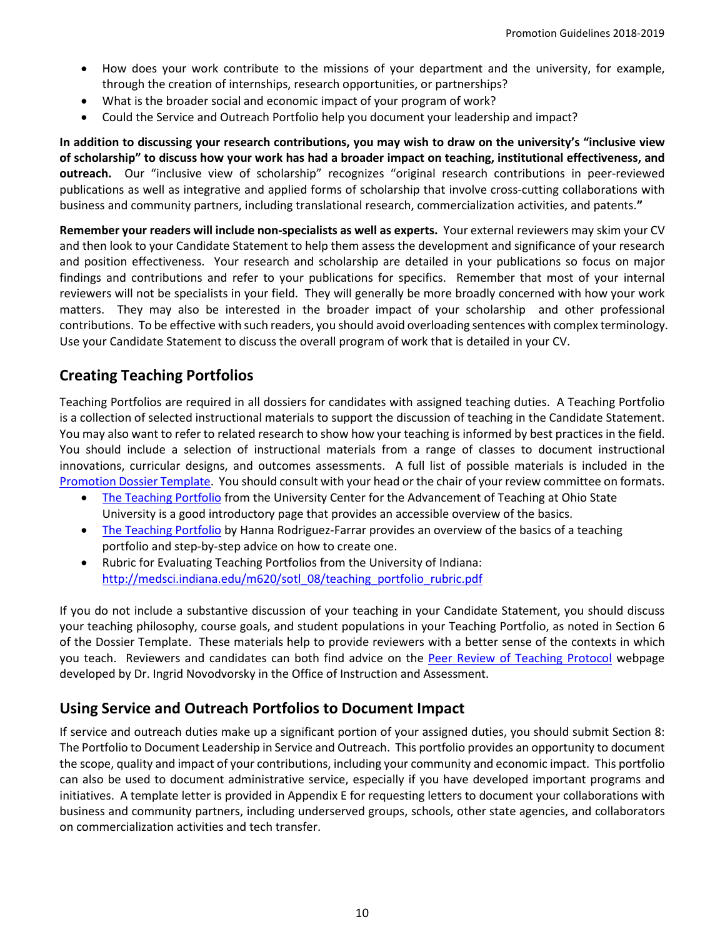- How does your work contribute to the missions of your department and the university, for example, through the creation of internships, research opportunities, or partnerships?
- What is the broader social and economic impact of your program of work?
- Could the Service and Outreach Portfolio help you document your leadership and impact?

**In addition to discussing your research contributions, you may wish to draw on the university's "inclusive view of scholarship" to discuss how your work has had a broader impact on teaching, institutional effectiveness, and outreach.** Our "inclusive view of scholarship" recognizes "original research contributions in peer-reviewed publications as well as integrative and applied forms of scholarship that involve cross-cutting collaborations with business and community partners, including translational research, commercialization activities, and patents.**"**

**Remember your readers will include non-specialists as well as experts.** Your external reviewers may skim your CV and then look to your Candidate Statement to help them assess the development and significance of your research and position effectiveness. Your research and scholarship are detailed in your publications so focus on major findings and contributions and refer to your publications for specifics. Remember that most of your internal reviewers will not be specialists in your field. They will generally be more broadly concerned with how your work matters. They may also be interested in the broader impact of your scholarship and other professional contributions. To be effective with such readers, you should avoid overloading sentences with complex terminology. Use your Candidate Statement to discuss the overall program of work that is detailed in your CV.

# **Creating Teaching Portfolios**

Teaching Portfolios are required in all dossiers for candidates with assigned teaching duties.A Teaching Portfolio is a collection of selected instructional materials to support the discussion of teaching in the Candidate Statement. You may also want to refer to related research to show how your teaching is informed by best practices in the field. You should include a selection of instructional materials from a range of classes to document instructional innovations, curricular designs, and outcomes assessments. A full list of possible materials is included in the [Promotion Dossier Template.](http://facultyaffairs.arizona.edu/promotion-and-tenure#pt) You should consult with your head or the chair of your review committee on formats.

- [The Teaching Portfolio](http://ucat.osu.edu/read/teaching-portfolio) from the University Center for the Advancement of Teaching at Ohio State University is a good introductory page that provides an accessible overview of the basics.
- [The Teaching Portfolio](http://facultyaffairs.arizona.edu/sites/default/files/brown_teaching_portfolio_handbook.pdf) by Hanna Rodriguez-Farrar provides an overview of the basics of a teaching portfolio and step-by-step advice on how to create one.
- Rubric for Evaluating Teaching Portfolios from the University of Indiana: [http://medsci.indiana.edu/m620/sotl\\_08/teaching\\_portfolio\\_rubric.pdf](http://medsci.indiana.edu/m620/sotl_08/teaching_portfolio_rubric.pdf)

If you do not include a substantive discussion of your teaching in your Candidate Statement, you should discuss your teaching philosophy, course goals, and student populations in your Teaching Portfolio, as noted in Section 6 of the Dossier Template. These materials help to provide reviewers with a better sense of the contexts in which you teach. Reviewers and candidates can both find advice on the [Peer Review of Teaching Protocol](http://teachingprotocol.oia.arizona.edu/) webpage developed by Dr. Ingrid Novodvorsky in the Office of Instruction and Assessment.

# **Using Service and Outreach Portfolios to Document Impact**

If service and outreach duties make up a significant portion of your assigned duties, you should submit Section 8: The Portfolio to Document Leadership in Service and Outreach. This portfolio provides an opportunity to document the scope, quality and impact of your contributions, including your community and economic impact. This portfolio can also be used to document administrative service, especially if you have developed important programs and initiatives. A template letter is provided in Appendix E for requesting letters to document your collaborations with business and community partners, including underserved groups, schools, other state agencies, and collaborators on commercialization activities and tech transfer.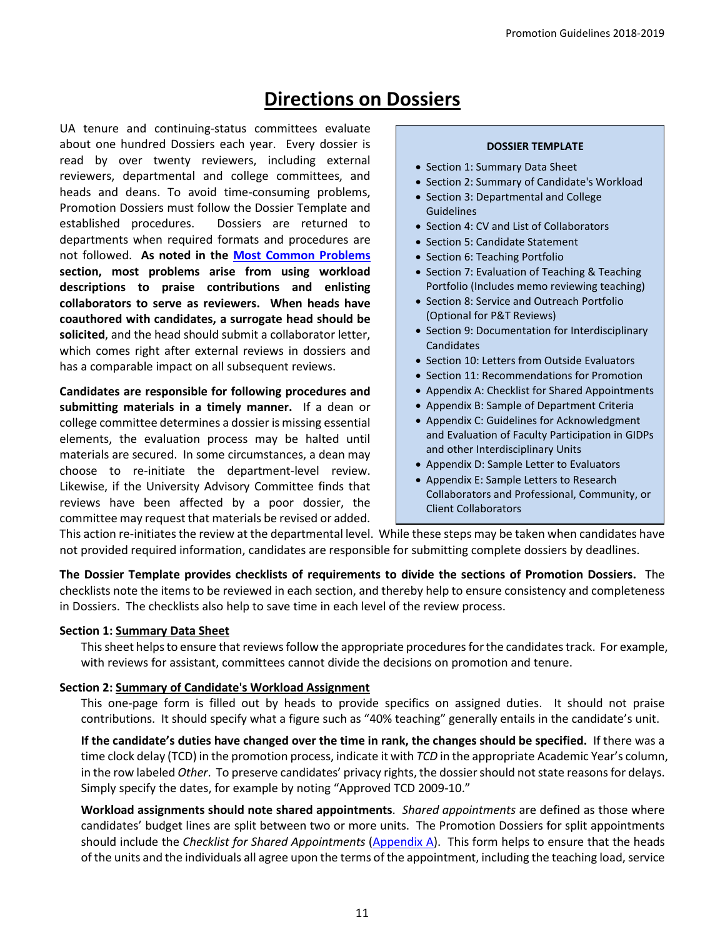# **Directions on Dossiers**

<span id="page-10-0"></span>UA tenure and continuing-status committees evaluate about one hundred Dossiers each year. Every dossier is read by over twenty reviewers, including external reviewers, departmental and college committees, and heads and deans. To avoid time-consuming problems, Promotion Dossiers must follow the Dossier Template and established procedures. Dossiers are returned to departments when required formats and procedures are not followed. **As noted in the [Most Common Problems](http://facultyaffairs.arizona.edu/common-problems-dossiers) section, most problems arise from using workload descriptions to praise contributions and enlisting collaborators to serve as reviewers. When heads have coauthored with candidates, a surrogate head should be solicited**, and the head should submit a collaborator letter, which comes right after external reviews in dossiers and has a comparable impact on all subsequent reviews.

**Candidates are responsible for following procedures and submitting materials in a timely manner.** If a dean or college committee determines a dossier is missing essential elements, the evaluation process may be halted until materials are secured. In some circumstances, a dean may choose to re-initiate the department-level review. Likewise, if the University Advisory Committee finds that reviews have been affected by a poor dossier, the committee may request that materials be revised or added.

#### **DOSSIER TEMPLATE**

- Section 1: Summary Data Sheet
- Section 2: Summary of Candidate's Workload
- Section 3: Departmental and College Guidelines
- Section 4: CV and List of Collaborators
- Section 5: Candidate Statement
- Section 6: Teaching Portfolio
- Section 7: Evaluation of Teaching & Teaching Portfolio (Includes memo reviewing teaching)
- Section 8: Service and Outreach Portfolio (Optional for P&T Reviews)
- Section 9: Documentation for Interdisciplinary Candidates
- Section 10: Letters from Outside Evaluators
- Section 11: Recommendations for Promotion
- Appendix A: Checklist for Shared Appointments
- Appendix B: Sample of Department Criteria
- Appendix C: Guidelines for Acknowledgment and Evaluation of Faculty Participation in GIDPs and other Interdisciplinary Units
- Appendix D: Sample Letter to Evaluators
- Appendix E: Sample Letters to Research Collaborators and Professional, Community, or Client Collaborators

This action re-initiates the review at the departmental level. While these steps may be taken when candidates have not provided required information, candidates are responsible for submitting complete dossiers by deadlines.

**The Dossier Template provides checklists of requirements to divide the sections of Promotion Dossiers.** The checklists note the items to be reviewed in each section, and thereby help to ensure consistency and completeness in Dossiers. The checklists also help to save time in each level of the review process.

#### **Section 1: Summary Data Sheet**

This sheet helps to ensure that reviews follow the appropriate proceduresfor the candidates track. For example, with reviews for assistant, committees cannot divide the decisions on promotion and tenure.

#### **Section 2: Summary of Candidate's Workload Assignment**

This one-page form is filled out by heads to provide specifics on assigned duties. It should not praise contributions. It should specify what a figure such as "40% teaching" generally entails in the candidate's unit.

**If the candidate's duties have changed over the time in rank, the changes should be specified.** If there was a time clock delay (TCD) in the promotion process, indicate it with *TCD* in the appropriate Academic Year's column, in the row labeled *Other*. To preserve candidates' privacy rights, the dossier should not state reasons for delays. Simply specify the dates, for example by noting "Approved TCD 2009-10."

**Workload assignments should note shared appointments**. *Shared appointments* are defined as those where candidates' budget lines are split between two or more units. The Promotion Dossiers for split appointments should include the *Checklist for Shared Appointments* [\(Appendix A\)](http://facultyaffairs.arizona.edu/sites/default/files/18-19_appendix_a-checklist_for_shared_appointments.pdf). This form helps to ensure that the heads of the units and the individuals all agree upon the terms of the appointment, including the teaching load, service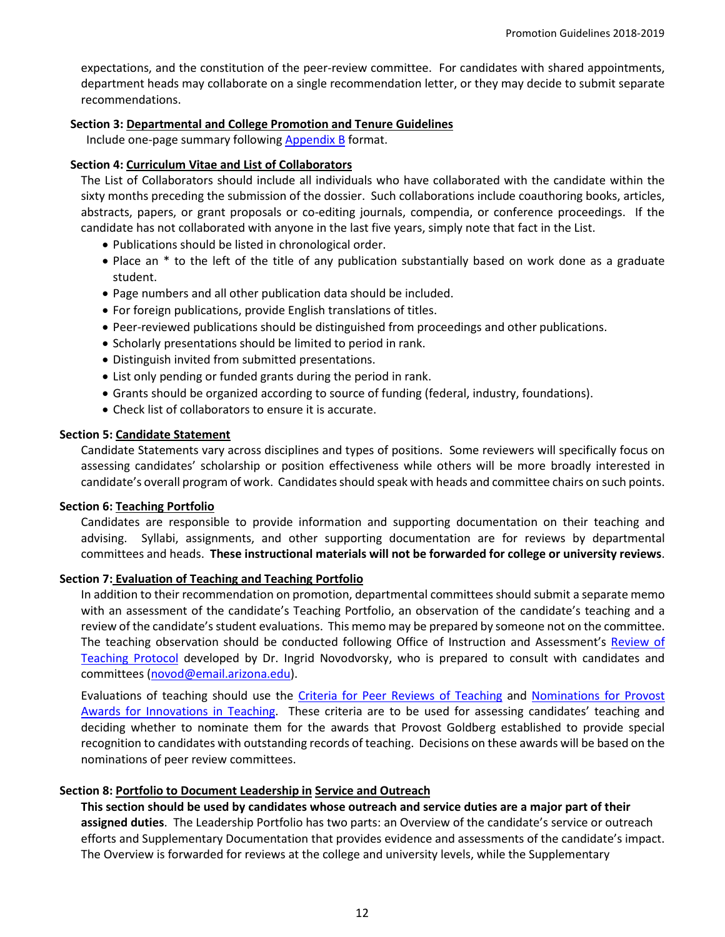expectations, and the constitution of the peer-review committee. For candidates with shared appointments, department heads may collaborate on a single recommendation letter, or they may decide to submit separate recommendations.

#### **Section 3: Departmental and College Promotion and Tenure Guidelines**

Include one-page summary following [Appendix B](http://facultyaffairs.arizona.edu/sites/default/files/18-19_appendix_b-samplepromotioncriteria.pdf) format.

#### **Section 4: Curriculum Vitae and List of Collaborators**

The List of Collaborators should include all individuals who have collaborated with the candidate within the sixty months preceding the submission of the dossier. Such collaborations include coauthoring books, articles, abstracts, papers, or grant proposals or co-editing journals, compendia, or conference proceedings. If the candidate has not collaborated with anyone in the last five years, simply note that fact in the List.

- Publications should be listed in chronological order.
- Place an \* to the left of the title of any publication substantially based on work done as a graduate student.
- Page numbers and all other publication data should be included.
- For foreign publications, provide English translations of titles.
- Peer-reviewed publications should be distinguished from proceedings and other publications.
- Scholarly presentations should be limited to period in rank.
- Distinguish invited from submitted presentations.
- List only pending or funded grants during the period in rank.
- Grants should be organized according to source of funding (federal, industry, foundations).
- Check list of collaborators to ensure it is accurate.

#### **Section 5: Candidate Statement**

Candidate Statements vary across disciplines and types of positions. Some reviewers will specifically focus on assessing candidates' scholarship or position effectiveness while others will be more broadly interested in candidate's overall program of work. Candidates should speak with heads and committee chairs on such points.

#### **Section 6: Teaching Portfolio**

Candidates are responsible to provide information and supporting documentation on their teaching and advising. Syllabi, assignments, and other supporting documentation are for reviews by departmental committees and heads. **These instructional materials will not be forwarded for college or university reviews**.

### **Section 7: Evaluation of Teaching and Teaching Portfolio**

In addition to their recommendation on promotion, departmental committees should submit a separate memo with an assessment of the candidate's Teaching Portfolio, an observation of the candidate's teaching and a review of the candidate's student evaluations. This memo may be prepared by someone not on the committee. The teaching observation should be conducted following [Office of Instruction and Assessment's Review of](http://teachingprotocol.oia.arizona.edu/)  [Teaching Protocol](http://teachingprotocol.oia.arizona.edu/) developed by Dr. Ingrid Novodvorsky, who is prepared to consult with candidates and committees [\(novod@email.arizona.edu\)](mailto:novod@email.arizona.edu).

Evaluations of teaching should use the [Criteria for Peer Reviews of Teaching](http://facultyaffairs.arizona.edu/sites/default/files/18-19_07-criteria-teachingportfolios_0.pdf) and [Nominations for Provost](http://facultyaffairs.arizona.edu/provost-awards-innovations-teaching)  [Awards for Innovations in Teaching.](http://facultyaffairs.arizona.edu/provost-awards-innovations-teaching) These criteria are to be used for assessing candidates' teaching and deciding whether to nominate them for the awards that Provost Goldberg established to provide special recognition to candidates with outstanding records of teaching. Decisions on these awards will be based on the nominations of peer review committees.

### **Section 8: Portfolio to Document Leadership in Service and Outreach**

**This section should be used by candidates whose outreach and service duties are a major part of their assigned duties**. The Leadership Portfolio has two parts: an Overview of the candidate's service or outreach efforts and Supplementary Documentation that provides evidence and assessments of the candidate's impact. The Overview is forwarded for reviews at the college and university levels, while the Supplementary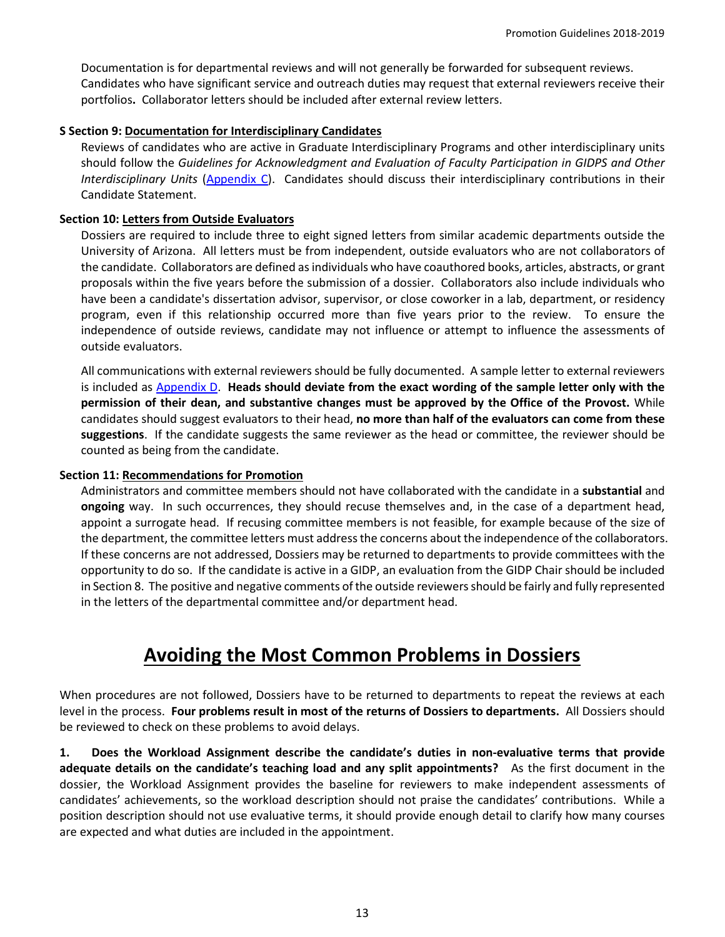Documentation is for departmental reviews and will not generally be forwarded for subsequent reviews. Candidates who have significant service and outreach duties may request that external reviewers receive their portfolios**.** Collaborator letters should be included after external review letters.

#### **S Section 9: Documentation for Interdisciplinary Candidates**

Reviews of candidates who are active in Graduate Interdisciplinary Programs and other interdisciplinary units should follow the *Guidelines for Acknowledgment and Evaluation of Faculty Participation in GIDPS and Other Interdisciplinary Units* [\(Appendix C\)](http://facultyaffairs.arizona.edu/sites/default/files/18-19_appendix_c-gidpandinterdiscipinaryactivities.pdf). Candidates should discuss their interdisciplinary contributions in their Candidate Statement.

#### **Section 10: Letters from Outside Evaluators**

Dossiers are required to include three to eight signed letters from similar academic departments outside the University of Arizona. All letters must be from independent, outside evaluators who are not collaborators of the candidate. Collaborators are defined as individuals who have coauthored books, articles, abstracts, or grant proposals within the five years before the submission of a dossier. Collaborators also include individuals who have been a candidate's dissertation advisor, supervisor, or close coworker in a lab, department, or residency program, even if this relationship occurred more than five years prior to the review. To ensure the independence of outside reviews, candidate may not influence or attempt to influence the assessments of outside evaluators.

All communications with external reviewers should be fully documented. A sample letter to external reviewers is included as [Appendix D.](http://facultyaffairs.arizona.edu/sites/default/files/18-19_appendix_d-templateltrexternal.docx) **Heads should deviate from the exact wording of the sample letter only with the permission of their dean, and substantive changes must be approved by the Office of the Provost.** While candidates should suggest evaluators to their head, **no more than half of the evaluators can come from these suggestions**. If the candidate suggests the same reviewer as the head or committee, the reviewer should be counted as being from the candidate.

#### **Section 11: Recommendations for Promotion**

Administrators and committee members should not have collaborated with the candidate in a **substantial** and **ongoing** way. In such occurrences, they should recuse themselves and, in the case of a department head, appoint a surrogate head. If recusing committee members is not feasible, for example because of the size of the department, the committee letters must address the concerns about the independence of the collaborators. If these concerns are not addressed, Dossiers may be returned to departments to provide committees with the opportunity to do so. If the candidate is active in a GIDP, an evaluation from the GIDP Chair should be included in Section 8. The positive and negative comments of the outside reviewers should be fairly and fully represented in the letters of the departmental committee and/or department head.

# **Avoiding the Most Common Problems in Dossiers**

<span id="page-12-0"></span>When procedures are not followed, Dossiers have to be returned to departments to repeat the reviews at each level in the process. **Four problems result in most of the returns of Dossiers to departments.** All Dossiers should be reviewed to check on these problems to avoid delays.

**1. Does the Workload Assignment describe the candidate's duties in non-evaluative terms that provide adequate details on the candidate's teaching load and any split appointments?** As the first document in the dossier, the Workload Assignment provides the baseline for reviewers to make independent assessments of candidates' achievements, so the workload description should not praise the candidates' contributions. While a position description should not use evaluative terms, it should provide enough detail to clarify how many courses are expected and what duties are included in the appointment.